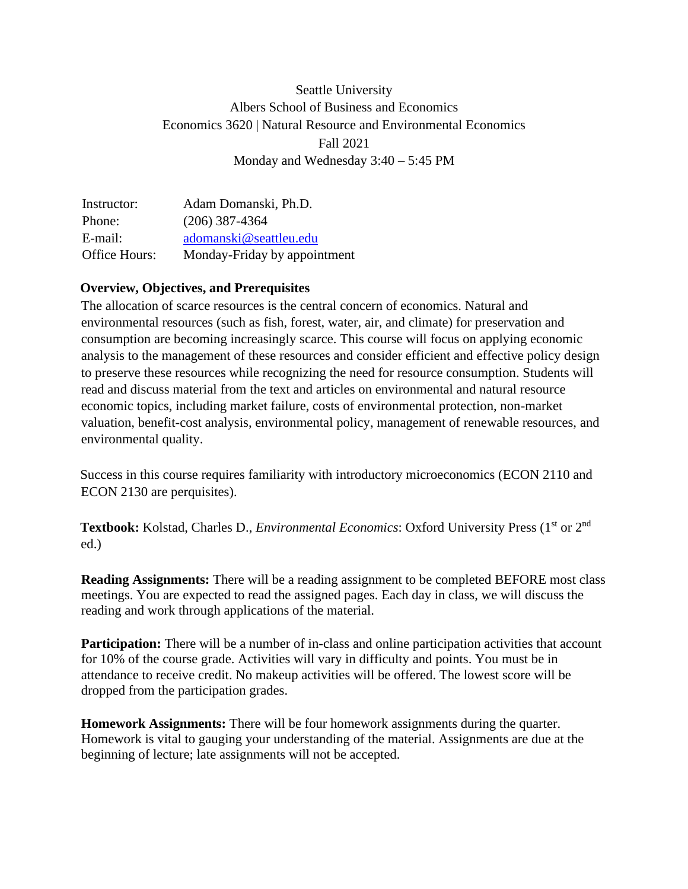# Seattle University Albers School of Business and Economics Economics 3620 | Natural Resource and Environmental Economics Fall 2021 Monday and Wednesday 3:40 – 5:45 PM

Instructor: Adam Domanski, Ph.D. Phone: (206) 387-4364 E-mail: [adomanski@seattleu.edu](mailto:adomanski@seattleu.edu) Office Hours: Monday-Friday by appointment

#### **Overview, Objectives, and Prerequisites**

The allocation of scarce resources is the central concern of economics. Natural and environmental resources (such as fish, forest, water, air, and climate) for preservation and consumption are becoming increasingly scarce. This course will focus on applying economic analysis to the management of these resources and consider efficient and effective policy design to preserve these resources while recognizing the need for resource consumption. Students will read and discuss material from the text and articles on environmental and natural resource economic topics, including market failure, costs of environmental protection, non-market valuation, benefit-cost analysis, environmental policy, management of renewable resources, and environmental quality.

Success in this course requires familiarity with introductory microeconomics (ECON 2110 and ECON 2130 are perquisites).

**Textbook:** Kolstad, Charles D., *Environmental Economics*: Oxford University Press (1<sup>st</sup> or 2<sup>nd</sup>) ed.)

**Reading Assignments:** There will be a reading assignment to be completed BEFORE most class meetings. You are expected to read the assigned pages. Each day in class, we will discuss the reading and work through applications of the material.

**Participation:** There will be a number of in-class and online participation activities that account for 10% of the course grade. Activities will vary in difficulty and points. You must be in attendance to receive credit. No makeup activities will be offered. The lowest score will be dropped from the participation grades.

**Homework Assignments:** There will be four homework assignments during the quarter. Homework is vital to gauging your understanding of the material. Assignments are due at the beginning of lecture; late assignments will not be accepted.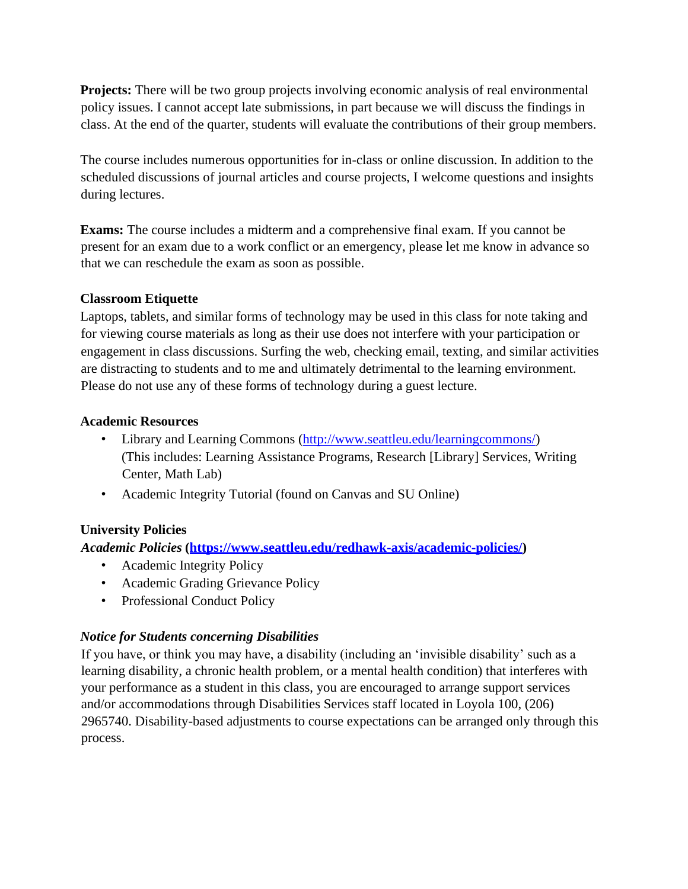**Projects:** There will be two group projects involving economic analysis of real environmental policy issues. I cannot accept late submissions, in part because we will discuss the findings in class. At the end of the quarter, students will evaluate the contributions of their group members.

The course includes numerous opportunities for in-class or online discussion. In addition to the scheduled discussions of journal articles and course projects, I welcome questions and insights during lectures.

**Exams:** The course includes a midterm and a comprehensive final exam. If you cannot be present for an exam due to a work conflict or an emergency, please let me know in advance so that we can reschedule the exam as soon as possible.

### **Classroom Etiquette**

Laptops, tablets, and similar forms of technology may be used in this class for note taking and for viewing course materials as long as their use does not interfere with your participation or engagement in class discussions. Surfing the web, checking email, texting, and similar activities are distracting to students and to me and ultimately detrimental to the learning environment. Please do not use any of these forms of technology during a guest lecture.

#### **Academic Resources**

- Library and Learning Commons [\(http://www.seattleu.edu/learningcommons/\)](http://www.seattleu.edu/learningcommons/)) (This includes: Learning Assistance Programs, Research [Library] Services, Writing Center, Math Lab)
- Academic Integrity Tutorial (found on Canvas and SU Online)

# **University Policies**

*Academic Policies* **(https:/[/www.seattleu.edu/redhawk-axis/academic-policies/\)](http://www.seattleu.edu/redhawk-axis/academic-policies/))**

- Academic Integrity Policy
- Academic Grading Grievance Policy
- Professional Conduct Policy

# *Notice for Students concerning Disabilities*

If you have, or think you may have, a disability (including an 'invisible disability' such as a learning disability, a chronic health problem, or a mental health condition) that interferes with your performance as a student in this class, you are encouraged to arrange support services and/or accommodations through Disabilities Services staff located in Loyola 100, (206) 2965740. Disability-based adjustments to course expectations can be arranged only through this process.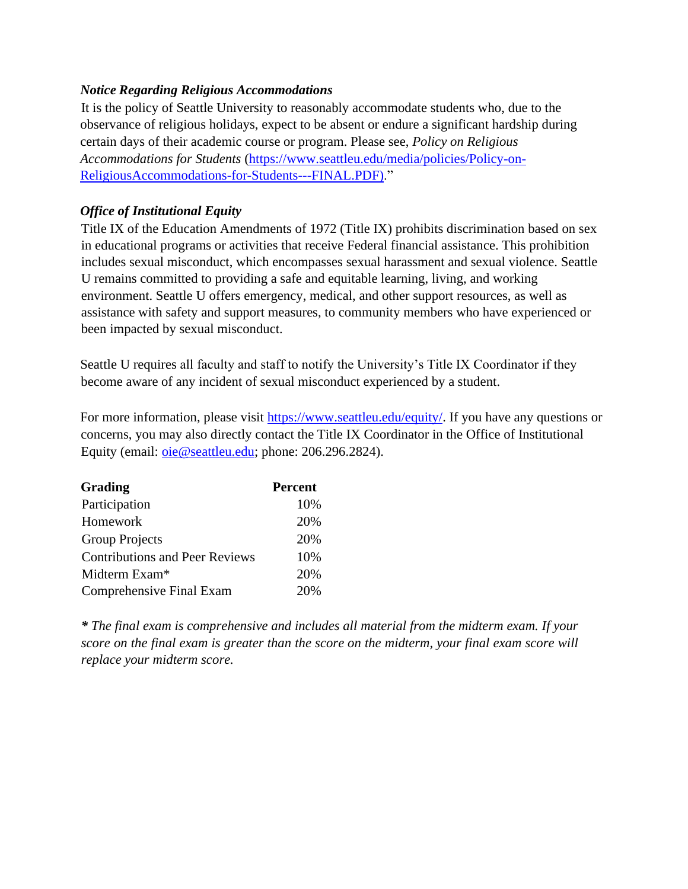## *Notice Regarding Religious Accommodations*

It is the policy of Seattle University to reasonably accommodate students who, due to the observance of religious holidays, expect to be absent or endure a significant hardship during certain days of their academic course or program. Please see, *Policy on Religious Accommodations for Students* (https:/[/www.seattleu.edu/media/policies/Policy-on-](http://www.seattleu.edu/media/policies/Policy-on-)ReligiousAccommodations-for-Students---FINAL.PDF)."

# *Office of Institutional Equity*

Title IX of the Education Amendments of 1972 (Title IX) prohibits discrimination based on sex in educational programs or activities that receive Federal financial assistance. This prohibition includes sexual misconduct, which encompasses sexual harassment and sexual violence. Seattle U remains committed to providing a safe and equitable learning, living, and working environment. Seattle U offers emergency, medical, and other support resources, as well as assistance with safety and support measures, to community members who have experienced or been impacted by sexual misconduct.

Seattle U requires all faculty and staff to notify the University's Title IX Coordinator if they become aware of any incident of sexual misconduct experienced by a student.

For more information, please visit https:/[/www.seattleu.edu/equity/.](http://www.seattleu.edu/equity/) If you have any questions or concerns, you may also directly contact the Title IX Coordinator in the Office of Institutional Equity (email: oie@seattleu.edu; phone: 206.296.2824).

| <b>Grading</b>                        | <b>Percent</b> |
|---------------------------------------|----------------|
| Participation                         | 10%            |
| Homework                              | 20%            |
| <b>Group Projects</b>                 | 20%            |
| <b>Contributions and Peer Reviews</b> | 10%            |
| Midterm Exam <sup>*</sup>             | 20%            |
| <b>Comprehensive Final Exam</b>       | 20%            |

*\* The final exam is comprehensive and includes all material from the midterm exam. If your score on the final exam is greater than the score on the midterm, your final exam score will replace your midterm score.*